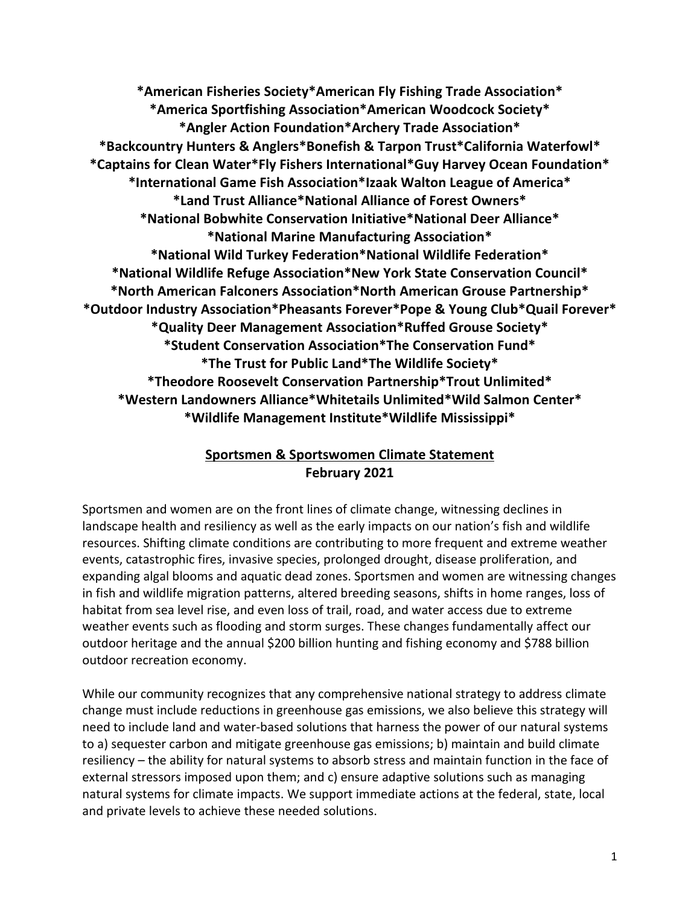**\*American Fisheries Society\*American Fly Fishing Trade Association\* \*America Sportfishing Association\*American Woodcock Society\* \*Angler Action Foundation\*Archery Trade Association\* \*Backcountry Hunters & Anglers\*Bonefish & Tarpon Trust\*California Waterfowl\* \*Captains for Clean Water\*Fly Fishers International\*Guy Harvey Ocean Foundation\* \*International Game Fish Association\*Izaak Walton League of America\* \*Land Trust Alliance\*National Alliance of Forest Owners\* \*National Bobwhite Conservation Initiative\*National Deer Alliance\* \*National Marine Manufacturing Association\* \*National Wild Turkey Federation\*National Wildlife Federation\* \*National Wildlife Refuge Association\*New York State Conservation Council\* \*North American Falconers Association\*North American Grouse Partnership\* \*Outdoor Industry Association\*Pheasants Forever\*Pope & Young Club\*Quail Forever\* \*Quality Deer Management Association\*Ruffed Grouse Society\* \*Student Conservation Association\*The Conservation Fund\* \*The Trust for Public Land\*The Wildlife Society\* \*Theodore Roosevelt Conservation Partnership\*Trout Unlimited\* \*Western Landowners Alliance\*Whitetails Unlimited\*Wild Salmon Center\* \*Wildlife Management Institute\*Wildlife Mississippi\***

# **Sportsmen & Sportswomen Climate Statement February 2021**

Sportsmen and women are on the front lines of climate change, witnessing declines in landscape health and resiliency as well as the early impacts on our nation's fish and wildlife resources. Shifting climate conditions are contributing to more frequent and extreme weather events, catastrophic fires, invasive species, prolonged drought, disease proliferation, and expanding algal blooms and aquatic dead zones. Sportsmen and women are witnessing changes in fish and wildlife migration patterns, altered breeding seasons, shifts in home ranges, loss of habitat from sea level rise, and even loss of trail, road, and water access due to extreme weather events such as flooding and storm surges. These changes fundamentally affect our outdoor heritage and the annual \$200 billion hunting and fishing economy and \$788 billion outdoor recreation economy.

While our community recognizes that any comprehensive national strategy to address climate change must include reductions in greenhouse gas emissions, we also believe this strategy will need to include land and water-based solutions that harness the power of our natural systems to a) sequester carbon and mitigate greenhouse gas emissions; b) maintain and build climate resiliency – the ability for natural systems to absorb stress and maintain function in the face of external stressors imposed upon them; and c) ensure adaptive solutions such as managing natural systems for climate impacts. We support immediate actions at the federal, state, local and private levels to achieve these needed solutions.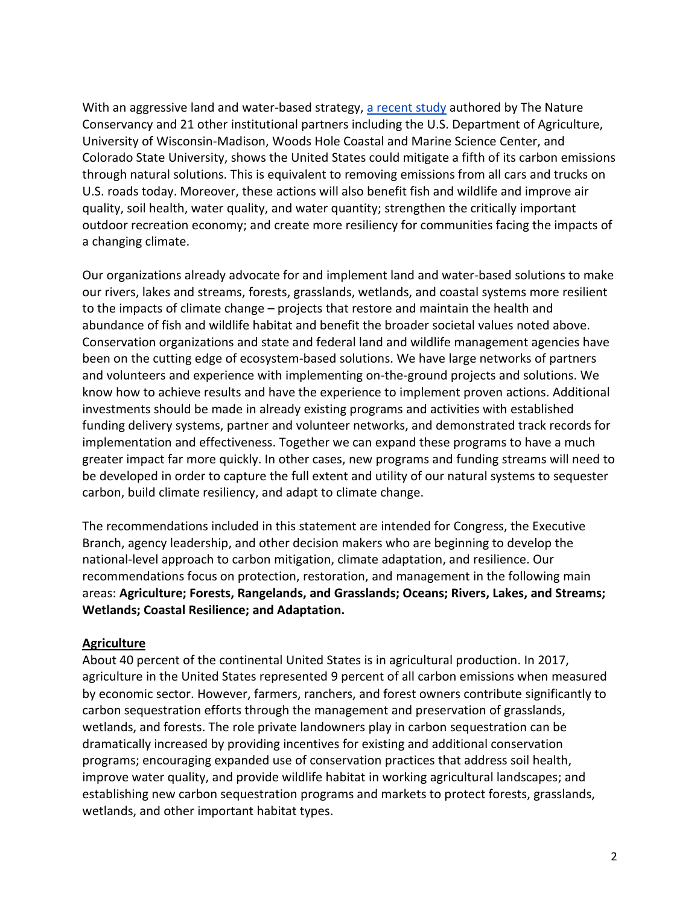With an aggressive land and water-based strategy, a [recent](https://advances.sciencemag.org/content/4/11/eaat1869) study authored by The Nature Conservancy and 21 other institutional partners including the U.S. Department of Agriculture, University of Wisconsin-Madison, Woods Hole Coastal and Marine Science Center, and Colorado State University, shows the United States could mitigate a fifth of its carbon emissions through natural solutions. This is equivalent to removing emissions from all cars and trucks on U.S. roads today. Moreover, these actions will also benefit fish and wildlife and improve air quality, soil health, water quality, and water quantity; strengthen the critically important outdoor recreation economy; and create more resiliency for communities facing the impacts of a changing climate.

Our organizations already advocate for and implement land and water-based solutions to make our rivers, lakes and streams, forests, grasslands, wetlands, and coastal systems more resilient to the impacts of climate change – projects that restore and maintain the health and abundance of fish and wildlife habitat and benefit the broader societal values noted above. Conservation organizations and state and federal land and wildlife management agencies have been on the cutting edge of ecosystem-based solutions. We have large networks of partners and volunteers and experience with implementing on-the-ground projects and solutions. We know how to achieve results and have the experience to implement proven actions. Additional investments should be made in already existing programs and activities with established funding delivery systems, partner and volunteer networks, and demonstrated track records for implementation and effectiveness. Together we can expand these programs to have a much greater impact far more quickly. In other cases, new programs and funding streams will need to be developed in order to capture the full extent and utility of our natural systems to sequester carbon, build climate resiliency, and adapt to climate change.

The recommendations included in this statement are intended for Congress, the Executive Branch, agency leadership, and other decision makers who are beginning to develop the national-level approach to carbon mitigation, climate adaptation, and resilience. Our recommendations focus on protection, restoration, and management in the following main areas: **Agriculture; Forests, Rangelands, and Grasslands; Oceans; Rivers, Lakes, and Streams; Wetlands; Coastal Resilience; and Adaptation.**

#### **Agriculture**

About 40 percent of the continental United States is in agricultural production. In 2017, agriculture in the United States represented 9 percent of all carbon emissions when measured by economic sector. However, farmers, ranchers, and forest owners contribute significantly to carbon sequestration efforts through the management and preservation of grasslands, wetlands, and forests. The role private landowners play in carbon sequestration can be dramatically increased by providing incentives for existing and additional conservation programs; encouraging expanded use of conservation practices that address soil health, improve water quality, and provide wildlife habitat in working agricultural landscapes; and establishing new carbon sequestration programs and markets to protect forests, grasslands, wetlands, and other important habitat types.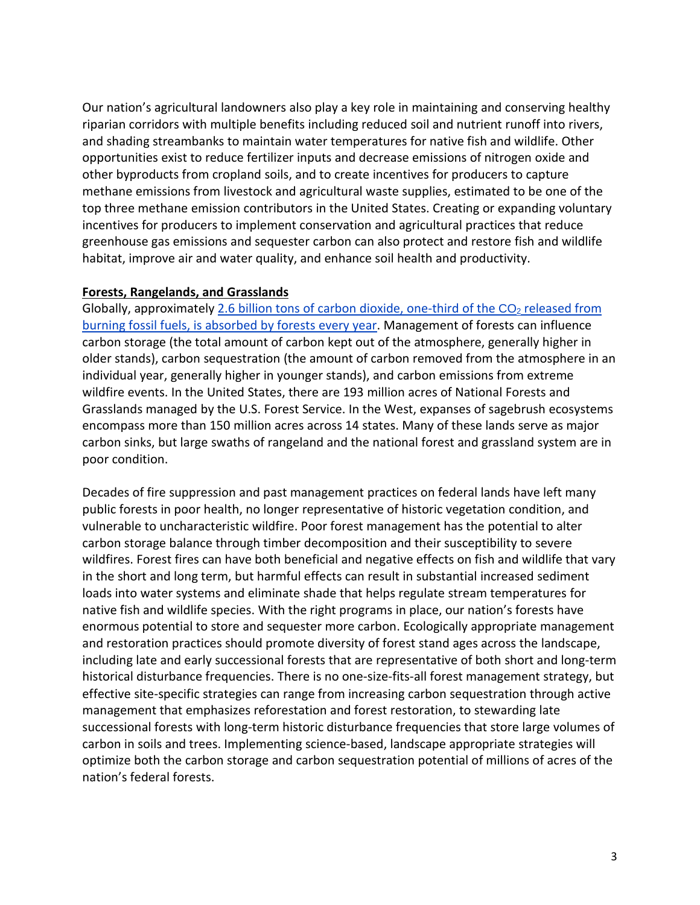Our nation's agricultural landowners also play a key role in maintaining and conserving healthy riparian corridors with multiple benefits including reduced soil and nutrient runoff into rivers, and shading streambanks to maintain water temperatures for native fish and wildlife. Other opportunities exist to reduce fertilizer inputs and decrease emissions of nitrogen oxide and other byproducts from cropland soils, and to create incentives for producers to capture methane emissions from livestock and agricultural waste supplies, estimated to be one of the top three methane emission contributors in the United States. Creating or expanding voluntary incentives for producers to implement conservation and agricultural practices that reduce greenhouse gas emissions and sequester carbon can also protect and restore fish and wildlife habitat, improve air and water quality, and enhance soil health and productivity.

#### **Forests, Rangelands, and Grasslands**

Globally, approximately 2.6 billion tons of carbon dioxide, [one-third](https://www.iucn.org/resources/issues-briefs/forests-and-climate-change) of the  $CO<sub>2</sub>$  released from burning fossil fuels, is [absorbed](https://www.iucn.org/resources/issues-briefs/forests-and-climate-change) by forests every year. Management of forests can influence carbon storage (the total amount of carbon kept out of the atmosphere, generally higher in older stands), carbon sequestration (the amount of carbon removed from the atmosphere in an individual year, generally higher in younger stands), and carbon emissions from extreme wildfire events. In the United States, there are 193 million acres of National Forests and Grasslands managed by the U.S. Forest Service. In the West, expanses of sagebrush ecosystems encompass more than 150 million acres across 14 states. Many of these lands serve as major carbon sinks, but large swaths of rangeland and the national forest and grassland system are in poor condition.

Decades of fire suppression and past management practices on federal lands have left many public forests in poor health, no longer representative of historic vegetation condition, and vulnerable to uncharacteristic wildfire. Poor forest management has the potential to alter carbon storage balance through timber decomposition and their susceptibility to severe wildfires. Forest fires can have both beneficial and negative effects on fish and wildlife that vary in the short and long term, but harmful effects can result in substantial increased sediment loads into water systems and eliminate shade that helps regulate stream temperatures for native fish and wildlife species. With the right programs in place, our nation's forests have enormous potential to store and sequester more carbon. Ecologically appropriate management and restoration practices should promote diversity of forest stand ages across the landscape, including late and early successional forests that are representative of both short and long-term historical disturbance frequencies. There is no one-size-fits-all forest management strategy, but effective site-specific strategies can range from increasing carbon sequestration through active management that emphasizes reforestation and forest restoration, to stewarding late successional forests with long-term historic disturbance frequencies that store large volumes of carbon in soils and trees. Implementing science-based, landscape appropriate strategies will optimize both the carbon storage and carbon sequestration potential of millions of acres of the nation's federal forests.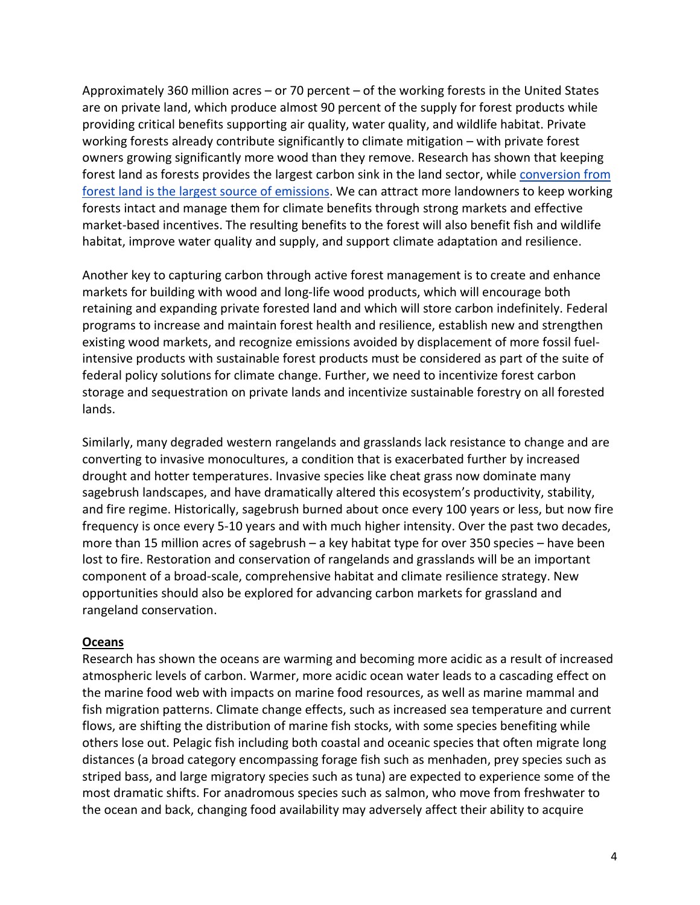Approximately 360 million acres – or 70 percent – of the working forests in the United States are on private land, which produce almost 90 percent of the supply for forest products while providing critical benefits supporting air quality, water quality, and wildlife habitat. Private working forests already contribute significantly to climate mitigation – with private forest owners growing significantly more wood than they remove. Research has shown that keeping forest land as forests provides the largest carbon sink in the land sector, while [conversion](https://www.nrs.fs.fed.us/pubs/59852) from forest land is the largest source of [emissions.](https://www.nrs.fs.fed.us/pubs/59852) We can attract more landowners to keep working forests intact and manage them for climate benefits through strong markets and effective market-based incentives. The resulting benefits to the forest will also benefit fish and wildlife habitat, improve water quality and supply, and support climate adaptation and resilience.

Another key to capturing carbon through active forest management is to create and enhance markets for building with wood and long-life wood products, which will encourage both retaining and expanding private forested land and which will store carbon indefinitely. Federal programs to increase and maintain forest health and resilience, establish new and strengthen existing wood markets, and recognize emissions avoided by displacement of more fossil fuelintensive products with sustainable forest products must be considered as part of the suite of federal policy solutions for climate change. Further, we need to incentivize forest carbon storage and sequestration on private lands and incentivize sustainable forestry on all forested lands.

Similarly, many degraded western rangelands and grasslands lack resistance to change and are converting to invasive monocultures, a condition that is exacerbated further by increased drought and hotter temperatures. Invasive species like cheat grass now dominate many sagebrush landscapes, and have dramatically altered this ecosystem's productivity, stability, and fire regime. Historically, sagebrush burned about once every 100 years or less, but now fire frequency is once every 5-10 years and with much higher intensity. Over the past two decades, more than 15 million acres of sagebrush – a key habitat type for over 350 species – have been lost to fire. Restoration and conservation of rangelands and grasslands will be an important component of a broad-scale, comprehensive habitat and climate resilience strategy. New opportunities should also be explored for advancing carbon markets for grassland and rangeland conservation.

#### **Oceans**

Research has shown the oceans are warming and becoming more acidic as a result of increased atmospheric levels of carbon. Warmer, more acidic ocean water leads to a cascading effect on the marine food web with impacts on marine food resources, as well as marine mammal and fish migration patterns. Climate change effects, such as increased sea temperature and current flows, are shifting the distribution of marine fish stocks, with some species benefiting while others lose out. Pelagic fish including both coastal and oceanic species that often migrate long distances (a broad category encompassing forage fish such as menhaden, prey species such as striped bass, and large migratory species such as tuna) are expected to experience some of the most dramatic shifts. For anadromous species such as salmon, who move from freshwater to the ocean and back, changing food availability may adversely affect their ability to acquire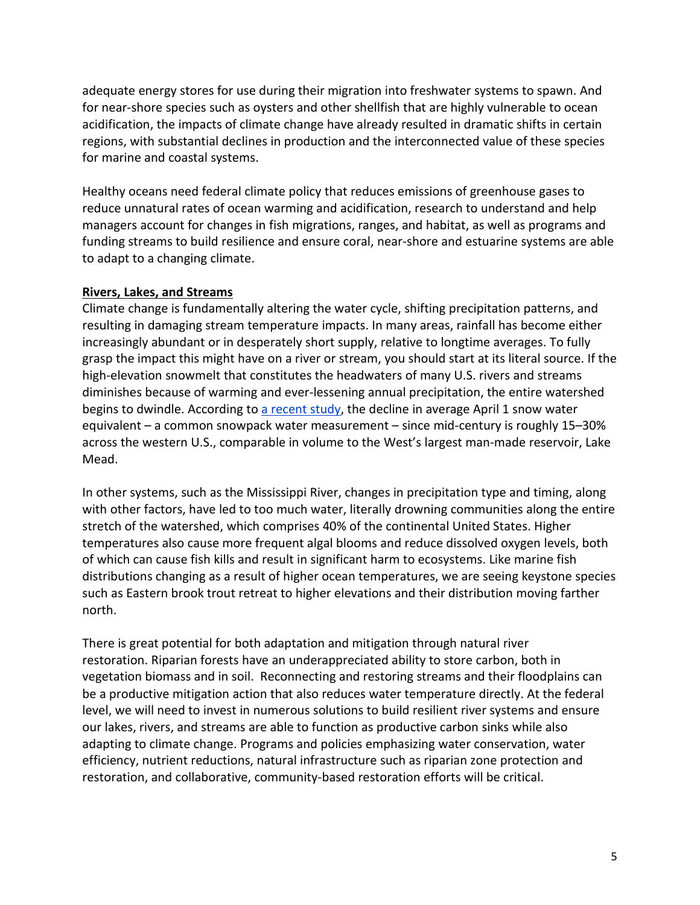adequate energy stores for use during their migration into freshwater systems to spawn. And for near-shore species such as oysters and other shellfish that are highly vulnerable to ocean acidification, the impacts of climate change have already resulted in dramatic shifts in certain regions, with substantial declines in production and the interconnected value of these species for marine and coastal systems.

Healthy oceans need federal climate policy that reduces emissions of greenhouse gases to reduce unnatural rates of ocean warming and acidification, research to understand and help managers account for changes in fish migrations, ranges, and habitat, as well as programs and funding streams to build resilience and ensure coral, near-shore and estuarine systems are able to adapt to a changing climate.

## **Rivers, Lakes, and Streams**

Climate change is fundamentally altering the water cycle, shifting precipitation patterns, and resulting in damaging stream temperature impacts. In many areas, rainfall has become either increasingly abundant or in desperately short supply, relative to longtime averages. To fully grasp the impact this might have on a river or stream, you should start at its literal source. If the high-elevation snowmelt that constitutes the headwaters of many U.S. rivers and streams diminishes because of warming and ever-lessening annual precipitation, the entire watershed begins to dwindle. According to a [recent](https://www.nature.com/articles/s41612-018-0012-1) study, the decline in average April 1 snow water equivalent – a common snowpack water measurement – since mid-century is roughly 15–30% across the western U.S., comparable in volume to the West's largest man-made reservoir, Lake Mead.

In other systems, such as the Mississippi River, changes in precipitation type and timing, along with other factors, have led to too much water, literally drowning communities along the entire stretch of the watershed, which comprises 40% of the continental United States. Higher temperatures also cause more frequent algal blooms and reduce dissolved oxygen levels, both of which can cause fish kills and result in significant harm to ecosystems. Like marine fish distributions changing as a result of higher ocean temperatures, we are seeing keystone species such as Eastern brook trout retreat to higher elevations and their distribution moving farther north.

There is great potential for both adaptation and mitigation through natural river restoration. Riparian forests have an underappreciated ability to store carbon, both in vegetation biomass and in soil. Reconnecting and restoring streams and their floodplains can be a productive mitigation action that also reduces water temperature directly. At the federal level, we will need to invest in numerous solutions to build resilient river systems and ensure our lakes, rivers, and streams are able to function as productive carbon sinks while also adapting to climate change. Programs and policies emphasizing water conservation, water efficiency, nutrient reductions, natural infrastructure such as riparian zone protection and restoration, and collaborative, community-based restoration efforts will be critical.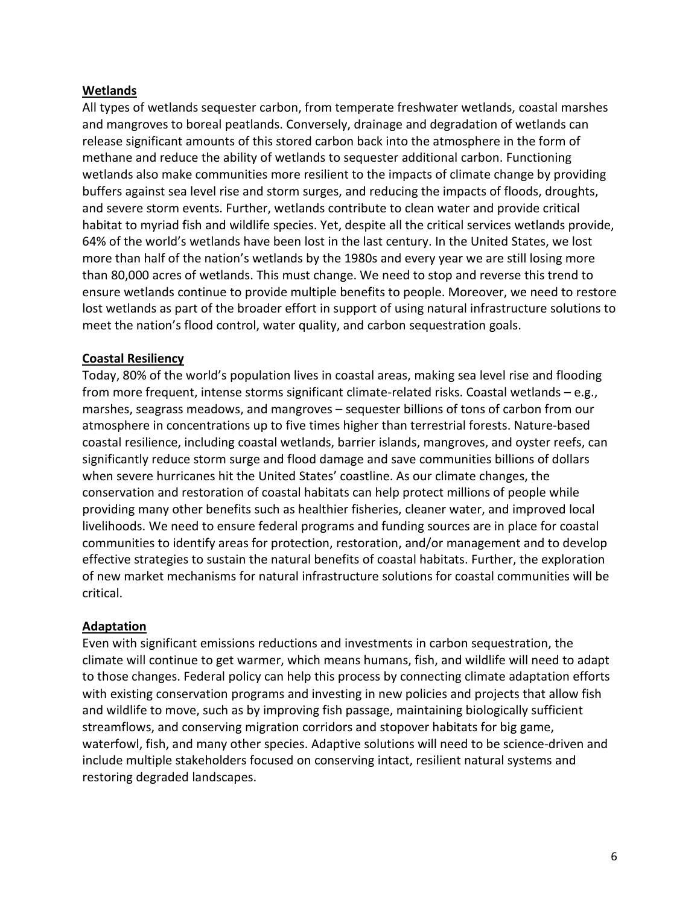## **Wetlands**

All types of wetlands sequester carbon, from temperate freshwater wetlands, coastal marshes and mangroves to boreal peatlands. Conversely, drainage and degradation of wetlands can release significant amounts of this stored carbon back into the atmosphere in the form of methane and reduce the ability of wetlands to sequester additional carbon. Functioning wetlands also make communities more resilient to the impacts of climate change by providing buffers against sea level rise and storm surges, and reducing the impacts of floods, droughts, and severe storm events. Further, wetlands contribute to clean water and provide critical habitat to myriad fish and wildlife species. Yet, despite all the critical services wetlands provide, 64% of the world's wetlands have been lost in the last century. In the United States, we lost more than half of the nation's wetlands by the 1980s and every year we are still losing more than 80,000 acres of wetlands. This must change. We need to stop and reverse this trend to ensure wetlands continue to provide multiple benefits to people. Moreover, we need to restore lost wetlands as part of the broader effort in support of using natural infrastructure solutions to meet the nation's flood control, water quality, and carbon sequestration goals.

## **Coastal Resiliency**

Today, 80% of the world's population lives in coastal areas, making sea level rise and flooding from more frequent, intense storms significant climate-related risks. Coastal wetlands – e.g., marshes, seagrass meadows, and mangroves – sequester billions of tons of carbon from our atmosphere in concentrations up to five times higher than terrestrial forests. Nature-based coastal resilience, including coastal wetlands, barrier islands, mangroves, and oyster reefs, can significantly reduce storm surge and flood damage and save communities billions of dollars when severe hurricanes hit the United States' coastline. As our climate changes, the conservation and restoration of coastal habitats can help protect millions of people while providing many other benefits such as healthier fisheries, cleaner water, and improved local livelihoods. We need to ensure federal programs and funding sources are in place for coastal communities to identify areas for protection, restoration, and/or management and to develop effective strategies to sustain the natural benefits of coastal habitats. Further, the exploration of new market mechanisms for natural infrastructure solutions for coastal communities will be critical.

#### **Adaptation**

Even with significant emissions reductions and investments in carbon sequestration, the climate will continue to get warmer, which means humans, fish, and wildlife will need to adapt to those changes. Federal policy can help this process by connecting climate adaptation efforts with existing conservation programs and investing in new policies and projects that allow fish and wildlife to move, such as by improving fish passage, maintaining biologically sufficient streamflows, and conserving migration corridors and stopover habitats for big game, waterfowl, fish, and many other species. Adaptive solutions will need to be science-driven and include multiple stakeholders focused on conserving intact, resilient natural systems and restoring degraded landscapes.